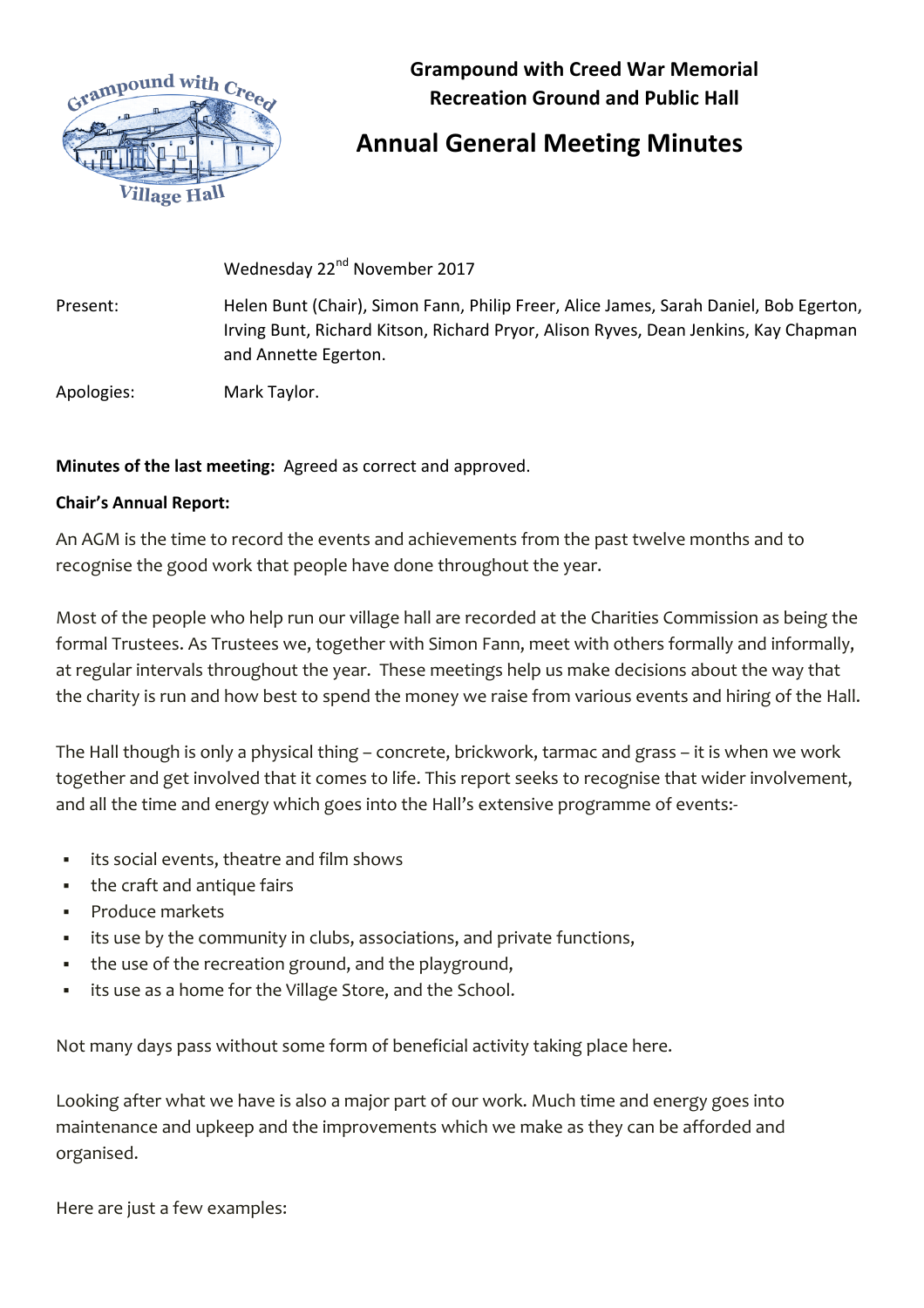

**Grampound with Creed War Memorial Recreation Ground and Public Hall** 

## **Annual General Meeting Minutes**

Wednesday 22<sup>nd</sup> November 2017

Present: Helen Bunt (Chair), Simon Fann, Philip Freer, Alice James, Sarah Daniel, Bob Egerton, Irving Bunt, Richard Kitson, Richard Pryor, Alison Ryves, Dean Jenkins, Kay Chapman and Annette Egerton.

Apologies: Mark Taylor.

## **Minutes of the last meeting:** Agreed as correct and approved.

## **Chair's Annual Report:**

An AGM is the time to record the events and achievements from the past twelve months and to recognise the good work that people have done throughout the year.

Most of the people who help run our village hall are recorded at the Charities Commission as being the formal Trustees. As Trustees we, together with Simon Fann, meet with others formally and informally, at regular intervals throughout the year. These meetings help us make decisions about the way that the charity is run and how best to spend the money we raise from various events and hiring of the Hall.

The Hall though is only a physical thing – concrete, brickwork, tarmac and grass – it is when we work together and get involved that it comes to life. This report seeks to recognise that wider involvement, and all the time and energy which goes into the Hall's extensive programme of events:-

- § its social events, theatre and film shows
- the craft and antique fairs
- § Produce markets
- its use by the community in clubs, associations, and private functions,
- the use of the recreation ground, and the playground,
- **•** its use as a home for the Village Store, and the School.

Not many days pass without some form of beneficial activity taking place here.

Looking after what we have is also a major part of our work. Much time and energy goes into maintenance and upkeep and the improvements which we make as they can be afforded and organised.

Here are just a few examples: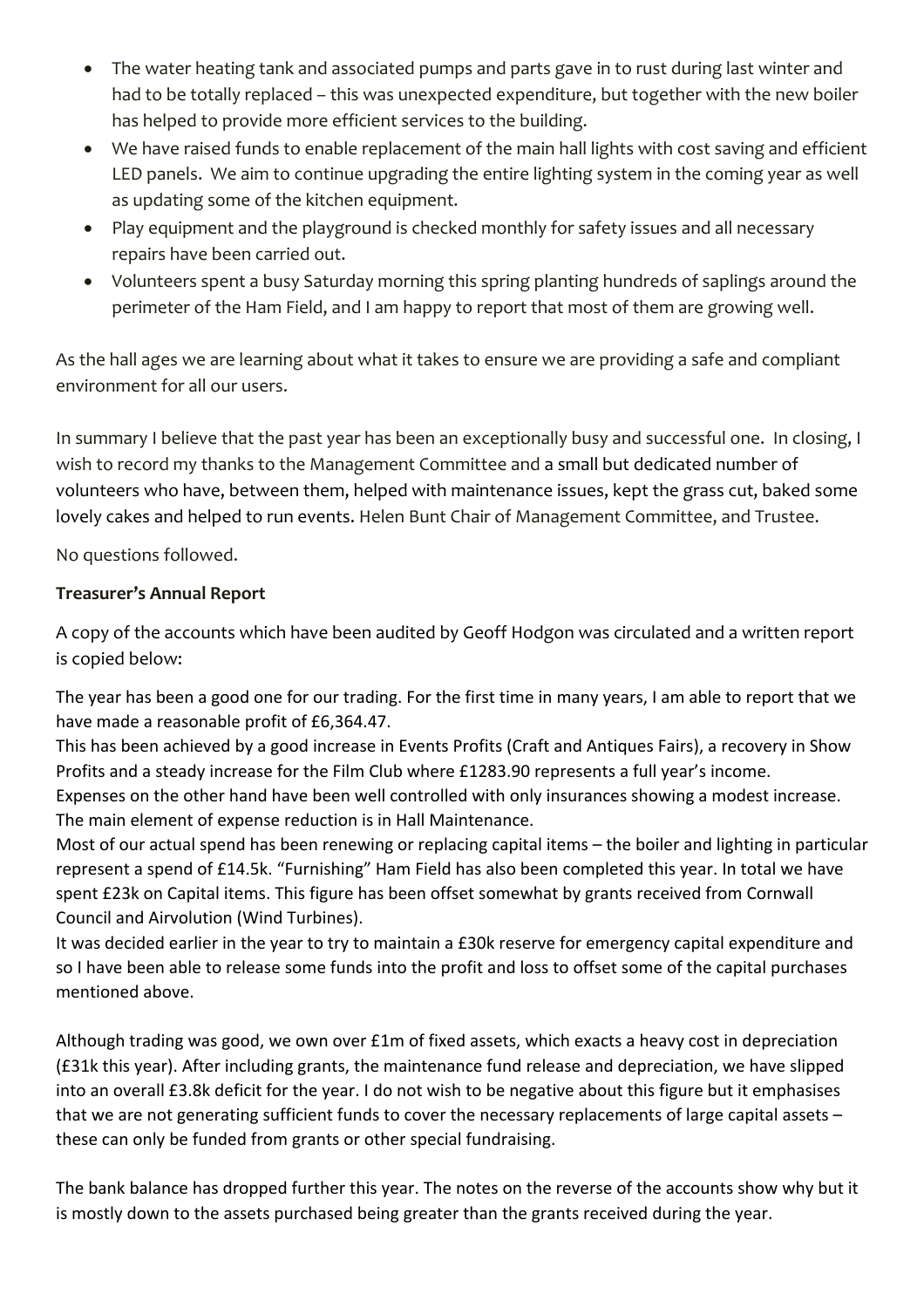- The water heating tank and associated pumps and parts gave in to rust during last winter and had to be totally replaced – this was unexpected expenditure, but together with the new boiler has helped to provide more efficient services to the building.
- We have raised funds to enable replacement of the main hall lights with cost saving and efficient LED panels. We aim to continue upgrading the entire lighting system in the coming year as well as updating some of the kitchen equipment.
- Play equipment and the playground is checked monthly for safety issues and all necessary repairs have been carried out.
- Volunteers spent a busy Saturday morning this spring planting hundreds of saplings around the perimeter of the Ham Field, and I am happy to report that most of them are growing well.

As the hall ages we are learning about what it takes to ensure we are providing a safe and compliant environment for all our users.

In summary I believe that the past year has been an exceptionally busy and successful one. In closing, I wish to record my thanks to the Management Committee and a small but dedicated number of volunteers who have, between them, helped with maintenance issues, kept the grass cut, baked some lovely cakes and helped to run events. Helen Bunt Chair of Management Committee, and Trustee.

No questions followed.

## **Treasurer's Annual Report**

A copy of the accounts which have been audited by Geoff Hodgon was circulated and a written report is copied below:

The year has been a good one for our trading. For the first time in many years, I am able to report that we have made a reasonable profit of £6,364.47.

This has been achieved by a good increase in Events Profits (Craft and Antiques Fairs), a recovery in Show Profits and a steady increase for the Film Club where £1283.90 represents a full year's income. Expenses on the other hand have been well controlled with only insurances showing a modest increase. The main element of expense reduction is in Hall Maintenance.

Most of our actual spend has been renewing or replacing capital items  $-$  the boiler and lighting in particular represent a spend of £14.5k. "Furnishing" Ham Field has also been completed this year. In total we have spent £23k on Capital items. This figure has been offset somewhat by grants received from Cornwall Council and Airvolution (Wind Turbines).

It was decided earlier in the year to try to maintain a £30k reserve for emergency capital expenditure and so I have been able to release some funds into the profit and loss to offset some of the capital purchases mentioned above.

Although trading was good, we own over £1m of fixed assets, which exacts a heavy cost in depreciation  $(f.31k$  this year). After including grants, the maintenance fund release and depreciation, we have slipped into an overall £3.8k deficit for the year. I do not wish to be negative about this figure but it emphasises that we are not generating sufficient funds to cover the necessary replacements of large capital assets  $$ these can only be funded from grants or other special fundraising.

The bank balance has dropped further this year. The notes on the reverse of the accounts show why but it is mostly down to the assets purchased being greater than the grants received during the year.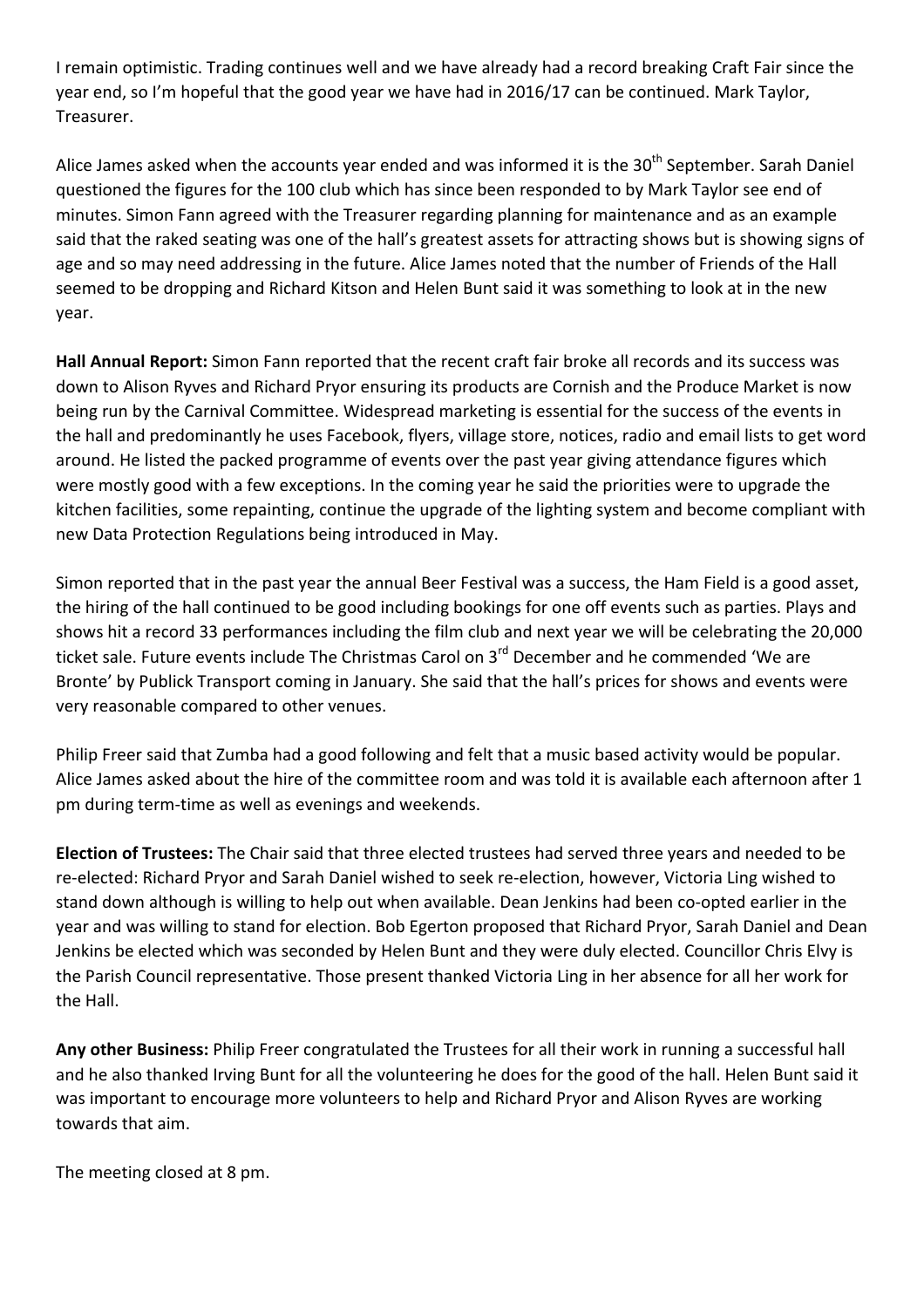I remain optimistic. Trading continues well and we have already had a record breaking Craft Fair since the year end, so I'm hopeful that the good year we have had in 2016/17 can be continued. Mark Taylor, Treasurer.

Alice James asked when the accounts year ended and was informed it is the 30<sup>th</sup> September. Sarah Daniel questioned the figures for the 100 club which has since been responded to by Mark Taylor see end of minutes. Simon Fann agreed with the Treasurer regarding planning for maintenance and as an example said that the raked seating was one of the hall's greatest assets for attracting shows but is showing signs of age and so may need addressing in the future. Alice James noted that the number of Friends of the Hall seemed to be dropping and Richard Kitson and Helen Bunt said it was something to look at in the new year.

**Hall Annual Report:** Simon Fann reported that the recent craft fair broke all records and its success was down to Alison Ryves and Richard Pryor ensuring its products are Cornish and the Produce Market is now being run by the Carnival Committee. Widespread marketing is essential for the success of the events in the hall and predominantly he uses Facebook, flyers, village store, notices, radio and email lists to get word around. He listed the packed programme of events over the past year giving attendance figures which were mostly good with a few exceptions. In the coming year he said the priorities were to upgrade the kitchen facilities, some repainting, continue the upgrade of the lighting system and become compliant with new Data Protection Regulations being introduced in May.

Simon reported that in the past year the annual Beer Festival was a success, the Ham Field is a good asset, the hiring of the hall continued to be good including bookings for one off events such as parties. Plays and shows hit a record 33 performances including the film club and next year we will be celebrating the 20,000 ticket sale. Future events include The Christmas Carol on 3<sup>rd</sup> December and he commended 'We are Bronte' by Publick Transport coming in January. She said that the hall's prices for shows and events were very reasonable compared to other venues.

Philip Freer said that Zumba had a good following and felt that a music based activity would be popular. Alice James asked about the hire of the committee room and was told it is available each afternoon after 1 pm during term-time as well as evenings and weekends.

**Election of Trustees:** The Chair said that three elected trustees had served three years and needed to be re-elected: Richard Pryor and Sarah Daniel wished to seek re-election, however, Victoria Ling wished to stand down although is willing to help out when available. Dean Jenkins had been co-opted earlier in the year and was willing to stand for election. Bob Egerton proposed that Richard Pryor, Sarah Daniel and Dean Jenkins be elected which was seconded by Helen Bunt and they were duly elected. Councillor Chris Elvy is the Parish Council representative. Those present thanked Victoria Ling in her absence for all her work for the Hall.

Any other Business: Philip Freer congratulated the Trustees for all their work in running a successful hall and he also thanked Irving Bunt for all the volunteering he does for the good of the hall. Helen Bunt said it was important to encourage more volunteers to help and Richard Pryor and Alison Ryves are working towards that aim.

The meeting closed at 8 pm.